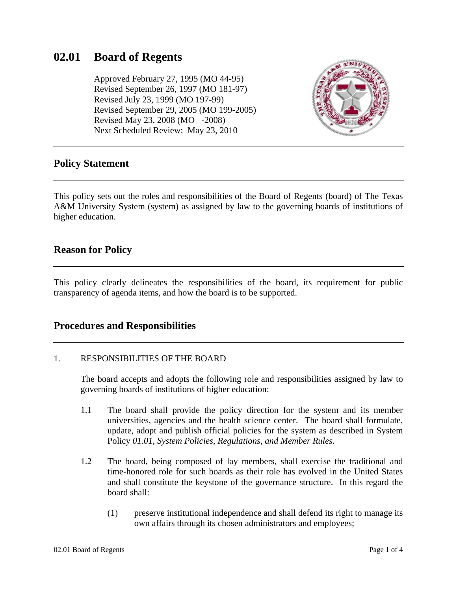# **02.01 Board of Regents**

 Approved February 27, 1995 (MO 44-95) Revised September 26, 1997 (MO 181-97) Revised July 23, 1999 (MO 197-99) Revised September 29, 2005 (MO 199-2005) Revised May 23, 2008 (MO -2008) Next Scheduled Review: May 23, 2010



### **Policy Statement**

This policy sets out the roles and responsibilities of the Board of Regents (board) of The Texas A&M University System (system) as assigned by law to the governing boards of institutions of higher education.

## **Reason for Policy**

This policy clearly delineates the responsibilities of the board, its requirement for public transparency of agenda items, and how the board is to be supported.

### **Procedures and Responsibilities**

#### 1. RESPONSIBILITIES OF THE BOARD

The board accepts and adopts the following role and responsibilities assigned by law to governing boards of institutions of higher education:

- 1.1 The board shall provide the policy direction for the system and its member universities, agencies and the health science center. The board shall formulate, update, adopt and publish official policies for the system as described in System Policy *01.01, System Policies, Regulations, and Member Rules*.
- 1.2 The board, being composed of lay members, shall exercise the traditional and time-honored role for such boards as their role has evolved in the United States and shall constitute the keystone of the governance structure. In this regard the board shall:
	- (1) preserve institutional independence and shall defend its right to manage its own affairs through its chosen administrators and employees;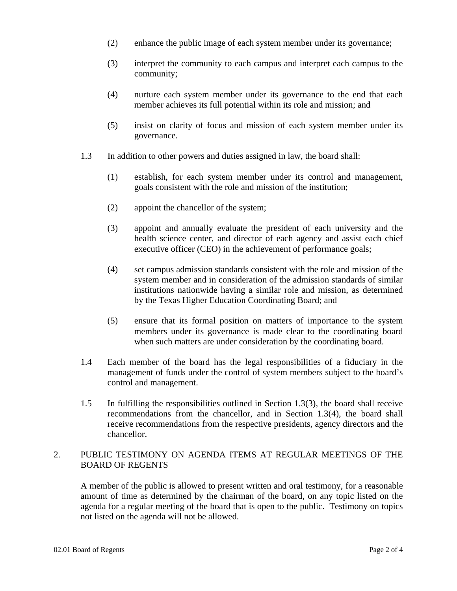- (2) enhance the public image of each system member under its governance;
- (3) interpret the community to each campus and interpret each campus to the community;
- (4) nurture each system member under its governance to the end that each member achieves its full potential within its role and mission; and
- (5) insist on clarity of focus and mission of each system member under its governance.
- 1.3 In addition to other powers and duties assigned in law, the board shall:
	- (1) establish, for each system member under its control and management, goals consistent with the role and mission of the institution;
	- (2) appoint the chancellor of the system;
	- (3) appoint and annually evaluate the president of each university and the health science center, and director of each agency and assist each chief executive officer (CEO) in the achievement of performance goals;
	- (4) set campus admission standards consistent with the role and mission of the system member and in consideration of the admission standards of similar institutions nationwide having a similar role and mission, as determined by the Texas Higher Education Coordinating Board; and
	- (5) ensure that its formal position on matters of importance to the system members under its governance is made clear to the coordinating board when such matters are under consideration by the coordinating board.
- 1.4 Each member of the board has the legal responsibilities of a fiduciary in the management of funds under the control of system members subject to the board's control and management.
- 1.5 In fulfilling the responsibilities outlined in Section 1.3(3), the board shall receive recommendations from the chancellor, and in Section 1.3(4), the board shall receive recommendations from the respective presidents, agency directors and the chancellor.

#### 2. PUBLIC TESTIMONY ON AGENDA ITEMS AT REGULAR MEETINGS OF THE BOARD OF REGENTS

A member of the public is allowed to present written and oral testimony, for a reasonable amount of time as determined by the chairman of the board, on any topic listed on the agenda for a regular meeting of the board that is open to the public. Testimony on topics not listed on the agenda will not be allowed.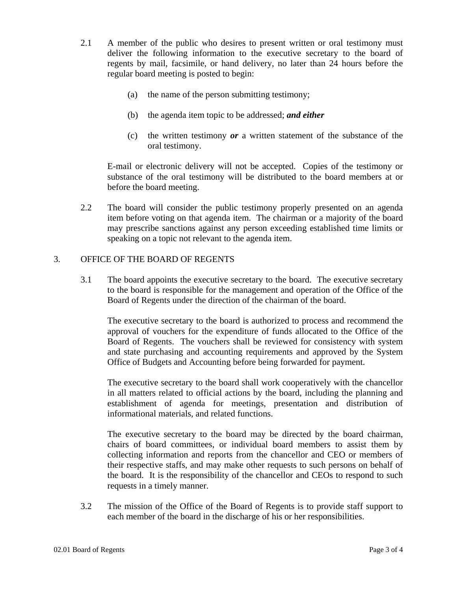- 2.1 A member of the public who desires to present written or oral testimony must deliver the following information to the executive secretary to the board of regents by mail, facsimile, or hand delivery, no later than 24 hours before the regular board meeting is posted to begin:
	- (a) the name of the person submitting testimony;
	- (b) the agenda item topic to be addressed; *and either*
	- (c) the written testimony *or* a written statement of the substance of the oral testimony.

E-mail or electronic delivery will not be accepted. Copies of the testimony or substance of the oral testimony will be distributed to the board members at or before the board meeting.

2.2 The board will consider the public testimony properly presented on an agenda item before voting on that agenda item. The chairman or a majority of the board may prescribe sanctions against any person exceeding established time limits or speaking on a topic not relevant to the agenda item.

#### 3. OFFICE OF THE BOARD OF REGENTS

3.1 The board appoints the executive secretary to the board. The executive secretary to the board is responsible for the management and operation of the Office of the Board of Regents under the direction of the chairman of the board.

The executive secretary to the board is authorized to process and recommend the approval of vouchers for the expenditure of funds allocated to the Office of the Board of Regents. The vouchers shall be reviewed for consistency with system and state purchasing and accounting requirements and approved by the System Office of Budgets and Accounting before being forwarded for payment.

The executive secretary to the board shall work cooperatively with the chancellor in all matters related to official actions by the board, including the planning and establishment of agenda for meetings, presentation and distribution of informational materials, and related functions.

 The executive secretary to the board may be directed by the board chairman, chairs of board committees, or individual board members to assist them by collecting information and reports from the chancellor and CEO or members of their respective staffs, and may make other requests to such persons on behalf of the board. It is the responsibility of the chancellor and CEOs to respond to such requests in a timely manner.

3.2 The mission of the Office of the Board of Regents is to provide staff support to each member of the board in the discharge of his or her responsibilities.